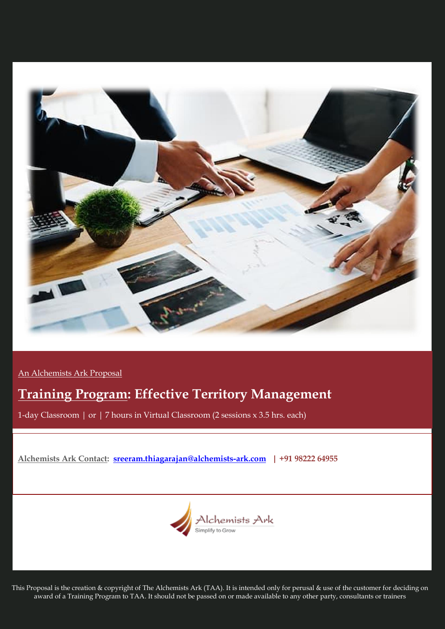

An Alchemists Ark Proposal

# **Training Program: Effective Territory Management**

1-day Classroom | or | 7 hours in Virtual Classroom (2 sessions x 3.5 hrs. each)

**Alchemists Ark Contact: [sreeram.thiagarajan@alchemists-ark.com](mailto:sreeram.thiagarajan@alchemists-ark.com) | +91 98222 64955**



This Proposal is the creation & copyright of The Alchemists Ark (TAA). It is intended only for perusal & use of the customer for deciding on award of a Training Program to TAA. It should not be passed on or made available to any other party, consultants or trainers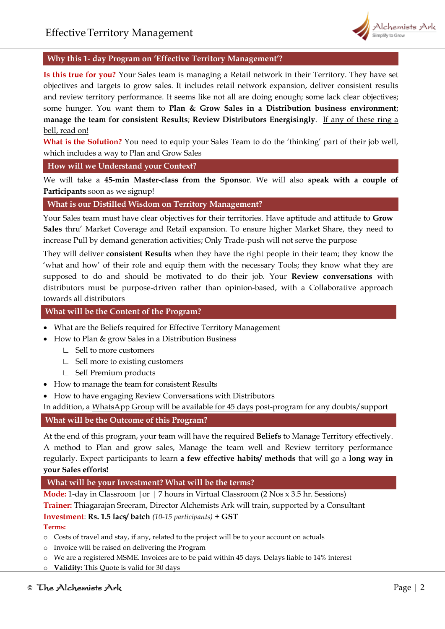

## **Why this 1- day Program on 'Effective Territory Management'?**

**Is this true for you?** Your Sales team is managing a Retail network in their Territory. They have set objectives and targets to grow sales. It includes retail network expansion, deliver consistent results and review territory performance. It seems like not all are doing enough; some lack clear objectives; some hunger. You want them to **Plan & Grow Sales in a Distribution business environment**; **manage the team for consistent Results**; **Review Distributors Energisingly**. If any of these ring a bell, read on!

**What is the Solution?** You need to equip your Sales Team to do the 'thinking' part of their job well, which includes a way to Plan and Grow Sales

**How will we Understand your Context?**

We will take a **45-min Master-class from the Sponsor**. We will also **speak with a couple of Participants** soon as we signup!

**What is our Distilled Wisdom on Territory Management?** 

Your Sales team must have clear objectives for their territories. Have aptitude and attitude to **Grow Sales** thru' Market Coverage and Retail expansion. To ensure higher Market Share, they need to increase Pull by demand generation activities; Only Trade-push will not serve the purpose

They will deliver **consistent Results** when they have the right people in their team; they know the 'what and how' of their role and equip them with the necessary Tools; they know what they are supposed to do and should be motivated to do their job. Your **Review conversations** with distributors must be purpose-driven rather than opinion-based, with a Collaborative approach towards all distributors

# **What will be the Content of the Program?**

- What are the Beliefs required for Effective Territory Management
- How to Plan & grow Sales in a Distribution Business
	- ∟ Sell to more customers
	- ∟ Sell more to existing customers
	- ∟ Sell Premium products
- How to manage the team for consistent Results
- How to have engaging Review Conversations with Distributors

In addition, a WhatsApp Group will be available for 45 days post-program for any doubts/support

#### **What will be the Outcome of this Program?**

At the end of this program, your team will have the required **Beliefs** to Manage Territory effectively. A method to Plan and grow sales, Manage the team well and Review territory performance regularly. Expect participants to learn **a few effective habits/ methods** that will go a **long way in your Sales efforts!**

### **What will be your Investment? What will be the terms?**

**Mode:** 1-day in Classroom |or | 7 hours in Virtual Classroom (2 Nos x 3.5 hr. Sessions)

**Trainer:** Thiagarajan Sreeram, Director Alchemists Ark will train, supported by a Consultant

## **Investment**: **Rs. 1.5 lacs/ batch** *(10-15 participants)* **+ GST**

#### **Terms:**

- o Costs of travel and stay, if any, related to the project will be to your account on actuals
- o Invoice will be raised on delivering the Program
- o We are a registered MSME. Invoices are to be paid within 45 days. Delays liable to 14% interest
- o **Validity:** This Quote is valid for 30 days